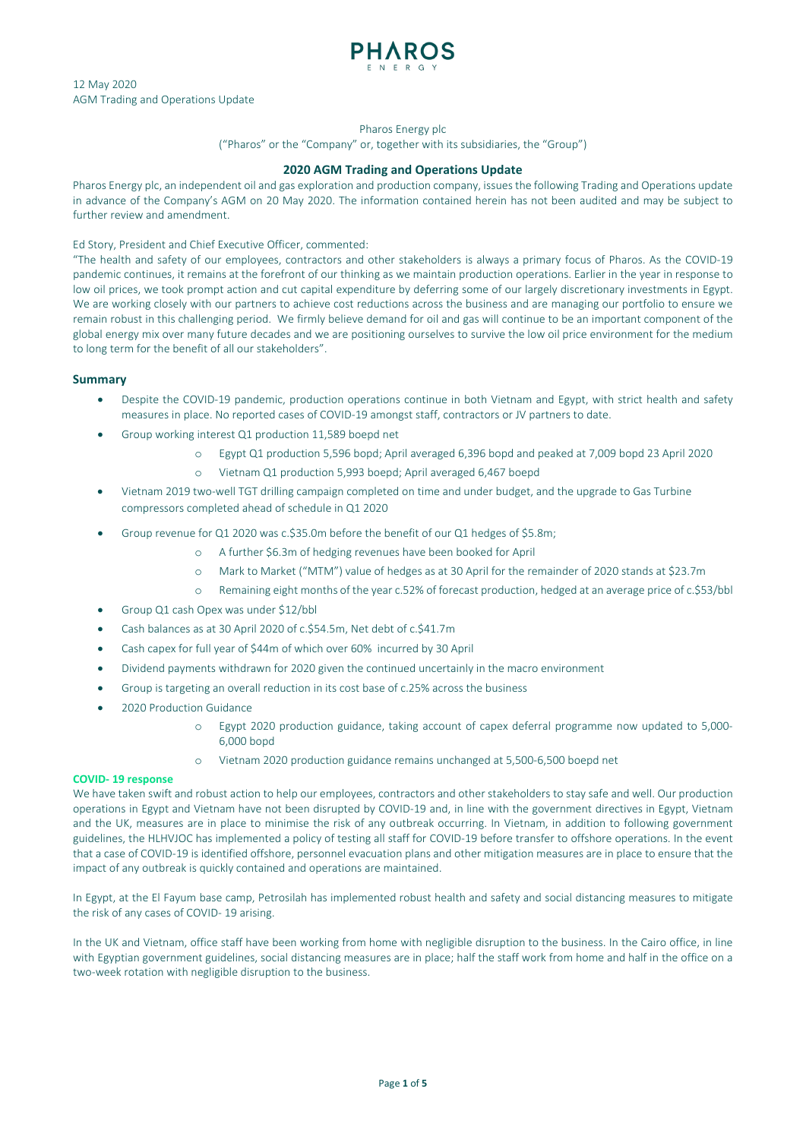

## Pharos Energy plc

("Pharos" or the "Company" or, together with its subsidiaries, the "Group")

# **2020 AGM Trading and Operations Update**

Pharos Energy plc, an independent oil and gas exploration and production company, issues the following Trading and Operations update in advance of the Company's AGM on 20 May 2020. The information contained herein has not been audited and may be subject to further review and amendment.

# Ed Story, President and Chief Executive Officer, commented:

"The health and safety of our employees, contractors and other stakeholders is always a primary focus of Pharos. As the COVID-19 pandemic continues, it remains at the forefront of our thinking as we maintain production operations. Earlier in the year in response to low oil prices, we took prompt action and cut capital expenditure by deferring some of our largely discretionary investments in Egypt. We are working closely with our partners to achieve cost reductions across the business and are managing our portfolio to ensure we remain robust in this challenging period. We firmly believe demand for oil and gas will continue to be an important component of the global energy mix over many future decades and we are positioning ourselves to survive the low oil price environment for the medium to long term for the benefit of all our stakeholders".

## **Summary**

- Despite the COVID-19 pandemic, production operations continue in both Vietnam and Egypt, with strict health and safety measures in place. No reported cases of COVID-19 amongst staff, contractors or JV partners to date.
- Group working interest Q1 production 11,589 boepd net
	- o Egypt Q1 production 5,596 bopd; April averaged 6,396 bopd and peaked at 7,009 bopd 23 April 2020
	- o Vietnam Q1 production 5,993 boepd; April averaged 6,467 boepd
- Vietnam 2019 two-well TGT drilling campaign completed on time and under budget, and the upgrade to Gas Turbine compressors completed ahead of schedule in Q1 2020
- Group revenue for Q1 2020 was c.\$35.0m before the benefit of our Q1 hedges of \$5.8m;
	- o A further \$6.3m of hedging revenues have been booked for April
	- o Mark to Market ("MTM") value of hedges as at 30 April for the remainder of 2020 stands at \$23.7m
	- o Remaining eight months of the year c.52% of forecast production, hedged at an average price of c.\$53/bbl
- Group Q1 cash Opex was under \$12/bbl
- Cash balances as at 30 April 2020 of c.\$54.5m, Net debt of c.\$41.7m
- Cash capex for full year of \$44m of which over 60% incurred by 30 April
- Dividend payments withdrawn for 2020 given the continued uncertainly in the macro environment
- Group is targeting an overall reduction in its cost base of c.25% across the business
- 2020 Production Guidance
	- o Egypt 2020 production guidance, taking account of capex deferral programme now updated to 5,000- 6,000 bopd
	- o Vietnam 2020 production guidance remains unchanged at 5,500-6,500 boepd net

## **COVID- 19 response**

We have taken swift and robust action to help our employees, contractors and other stakeholders to stay safe and well. Our production operations in Egypt and Vietnam have not been disrupted by COVID-19 and, in line with the government directives in Egypt, Vietnam and the UK, measures are in place to minimise the risk of any outbreak occurring. In Vietnam, in addition to following government guidelines, the HLHVJOC has implemented a policy of testing all staff for COVID-19 before transfer to offshore operations. In the event that a case of COVID-19 is identified offshore, personnel evacuation plans and other mitigation measures are in place to ensure that the impact of any outbreak is quickly contained and operations are maintained.

In Egypt, at the El Fayum base camp, Petrosilah has implemented robust health and safety and social distancing measures to mitigate the risk of any cases of COVID- 19 arising.

In the UK and Vietnam, office staff have been working from home with negligible disruption to the business. In the Cairo office, in line with Egyptian government guidelines, social distancing measures are in place; half the staff work from home and half in the office on a two-week rotation with negligible disruption to the business.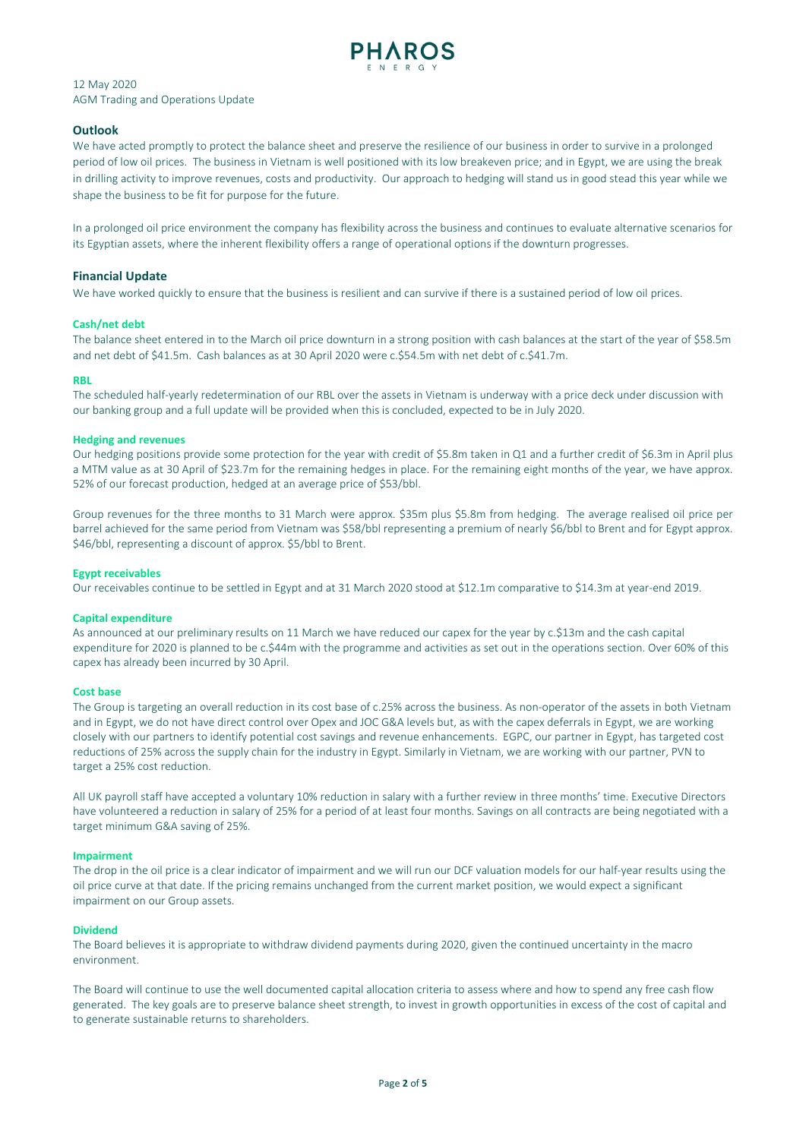

# **Outlook**

We have acted promptly to protect the balance sheet and preserve the resilience of our business in order to survive in a prolonged period of low oil prices. The business in Vietnam is well positioned with its low breakeven price; and in Egypt, we are using the break in drilling activity to improve revenues, costs and productivity. Our approach to hedging will stand us in good stead this year while we shape the business to be fit for purpose for the future.

In a prolonged oil price environment the company has flexibility across the business and continues to evaluate alternative scenarios for its Egyptian assets, where the inherent flexibility offers a range of operational options if the downturn progresses.

## **Financial Update**

We have worked quickly to ensure that the business is resilient and can survive if there is a sustained period of low oil prices.

## **Cash/net debt**

The balance sheet entered in to the March oil price downturn in a strong position with cash balances at the start of the year of \$58.5m and net debt of \$41.5m. Cash balances as at 30 April 2020 were c.\$54.5m with net debt of c.\$41.7m.

### **RBL**

The scheduled half-yearly redetermination of our RBL over the assets in Vietnam is underway with a price deck under discussion with our banking group and a full update will be provided when this is concluded, expected to be in July 2020.

### **Hedging and revenues**

Our hedging positions provide some protection for the year with credit of \$5.8m taken in Q1 and a further credit of \$6.3m in April plus a MTM value as at 30 April of \$23.7m for the remaining hedges in place. For the remaining eight months of the year, we have approx. 52% of our forecast production, hedged at an average price of \$53/bbl.

Group revenues for the three months to 31 March were approx. \$35m plus \$5.8m from hedging. The average realised oil price per barrel achieved for the same period from Vietnam was \$58/bbl representing a premium of nearly \$6/bbl to Brent and for Egypt approx. \$46/bbl, representing a discount of approx. \$5/bbl to Brent.

### **Egypt receivables**

Our receivables continue to be settled in Egypt and at 31 March 2020 stood at \$12.1m comparative to \$14.3m at year-end 2019.

### **Capital expenditure**

As announced at our preliminary results on 11 March we have reduced our capex for the year by c.\$13m and the cash capital expenditure for 2020 is planned to be c.\$44m with the programme and activities as set out in the operations section. Over 60% of this capex has already been incurred by 30 April.

### **Cost base**

The Group is targeting an overall reduction in its cost base of c.25% across the business. As non-operator of the assets in both Vietnam and in Egypt, we do not have direct control over Opex and JOC G&A levels but, as with the capex deferrals in Egypt, we are working closely with our partners to identify potential cost savings and revenue enhancements. EGPC, our partner in Egypt, has targeted cost reductions of 25% across the supply chain for the industry in Egypt. Similarly in Vietnam, we are working with our partner, PVN to target a 25% cost reduction.

All UK payroll staff have accepted a voluntary 10% reduction in salary with a further review in three months' time. Executive Directors have volunteered a reduction in salary of 25% for a period of at least four months. Savings on all contracts are being negotiated with a target minimum G&A saving of 25%.

### **Impairment**

The drop in the oil price is a clear indicator of impairment and we will run our DCF valuation models for our half-year results using the oil price curve at that date. If the pricing remains unchanged from the current market position, we would expect a significant impairment on our Group assets.

### **Dividend**

The Board believes it is appropriate to withdraw dividend payments during 2020, given the continued uncertainty in the macro environment.

The Board will continue to use the well documented capital allocation criteria to assess where and how to spend any free cash flow generated. The key goals are to preserve balance sheet strength, to invest in growth opportunities in excess of the cost of capital and to generate sustainable returns to shareholders.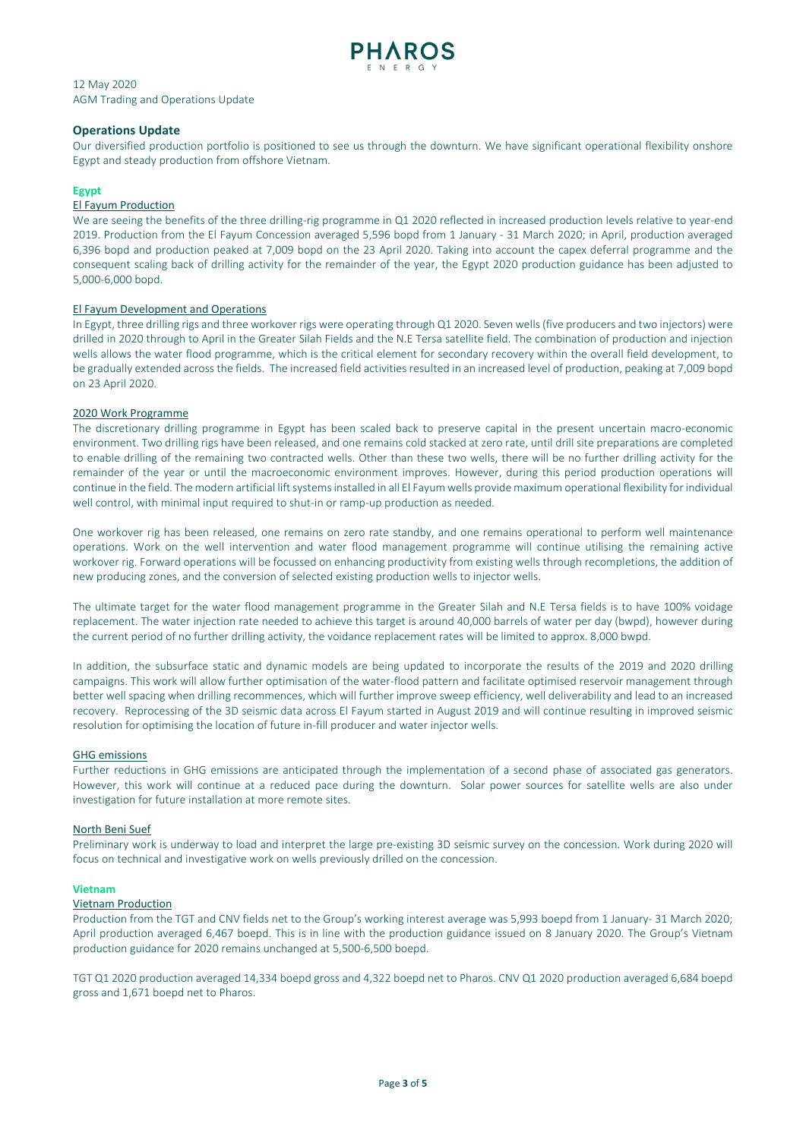

# **Operations Update**

Our diversified production portfolio is positioned to see us through the downturn. We have significant operational flexibility onshore Egypt and steady production from offshore Vietnam.

# **Egypt**

# El Fayum Production

We are seeing the benefits of the three drilling-rig programme in Q1 2020 reflected in increased production levels relative to year-end 2019. Production from the El Fayum Concession averaged 5,596 bopd from 1 January - 31 March 2020; in April, production averaged 6,396 bopd and production peaked at 7,009 bopd on the 23 April 2020. Taking into account the capex deferral programme and the consequent scaling back of drilling activity for the remainder of the year, the Egypt 2020 production guidance has been adjusted to 5,000-6,000 bopd.

## El Fayum Development and Operations

In Egypt, three drilling rigs and three workover rigs were operating through Q1 2020. Seven wells (five producers and two injectors) were drilled in 2020 through to April in the Greater Silah Fields and the N.E Tersa satellite field. The combination of production and injection wells allows the water flood programme, which is the critical element for secondary recovery within the overall field development, to be gradually extended across the fields. The increased field activities resulted in an increased level of production, peaking at 7,009 bopd on 23 April 2020.

## 2020 Work Programme

The discretionary drilling programme in Egypt has been scaled back to preserve capital in the present uncertain macro-economic environment. Two drilling rigs have been released, and one remains cold stacked at zero rate, until drill site preparations are completed to enable drilling of the remaining two contracted wells. Other than these two wells, there will be no further drilling activity for the remainder of the year or until the macroeconomic environment improves. However, during this period production operations will continue in the field. The modern artificial lift systems installed in all El Fayum wells provide maximum operational flexibility for individual well control, with minimal input required to shut-in or ramp-up production as needed.

One workover rig has been released, one remains on zero rate standby, and one remains operational to perform well maintenance operations. Work on the well intervention and water flood management programme will continue utilising the remaining active workover rig. Forward operations will be focussed on enhancing productivity from existing wells through recompletions, the addition of new producing zones, and the conversion of selected existing production wells to injector wells.

The ultimate target for the water flood management programme in the Greater Silah and N.E Tersa fields is to have 100% voidage replacement. The water injection rate needed to achieve this target is around 40,000 barrels of water per day (bwpd), however during the current period of no further drilling activity, the voidance replacement rates will be limited to approx. 8,000 bwpd.

In addition, the subsurface static and dynamic models are being updated to incorporate the results of the 2019 and 2020 drilling campaigns. This work will allow further optimisation of the water-flood pattern and facilitate optimised reservoir management through better well spacing when drilling recommences, which will further improve sweep efficiency, well deliverability and lead to an increased recovery. Reprocessing of the 3D seismic data across El Fayum started in August 2019 and will continue resulting in improved seismic resolution for optimising the location of future in-fill producer and water injector wells.

### GHG emissions

Further reductions in GHG emissions are anticipated through the implementation of a second phase of associated gas generators. However, this work will continue at a reduced pace during the downturn. Solar power sources for satellite wells are also under investigation for future installation at more remote sites.

### North Beni Suef

Preliminary work is underway to load and interpret the large pre-existing 3D seismic survey on the concession. Work during 2020 will focus on technical and investigative work on wells previously drilled on the concession.

### **Vietnam**

## Vietnam Production

Production from the TGT and CNV fields net to the Group's working interest average was 5,993 boepd from 1 January- 31 March 2020; April production averaged 6,467 boepd. This is in line with the production guidance issued on 8 January 2020. The Group's Vietnam production guidance for 2020 remains unchanged at 5,500-6,500 boepd.

TGT Q1 2020 production averaged 14,334 boepd gross and 4,322 boepd net to Pharos. CNV Q1 2020 production averaged 6,684 boepd gross and 1,671 boepd net to Pharos.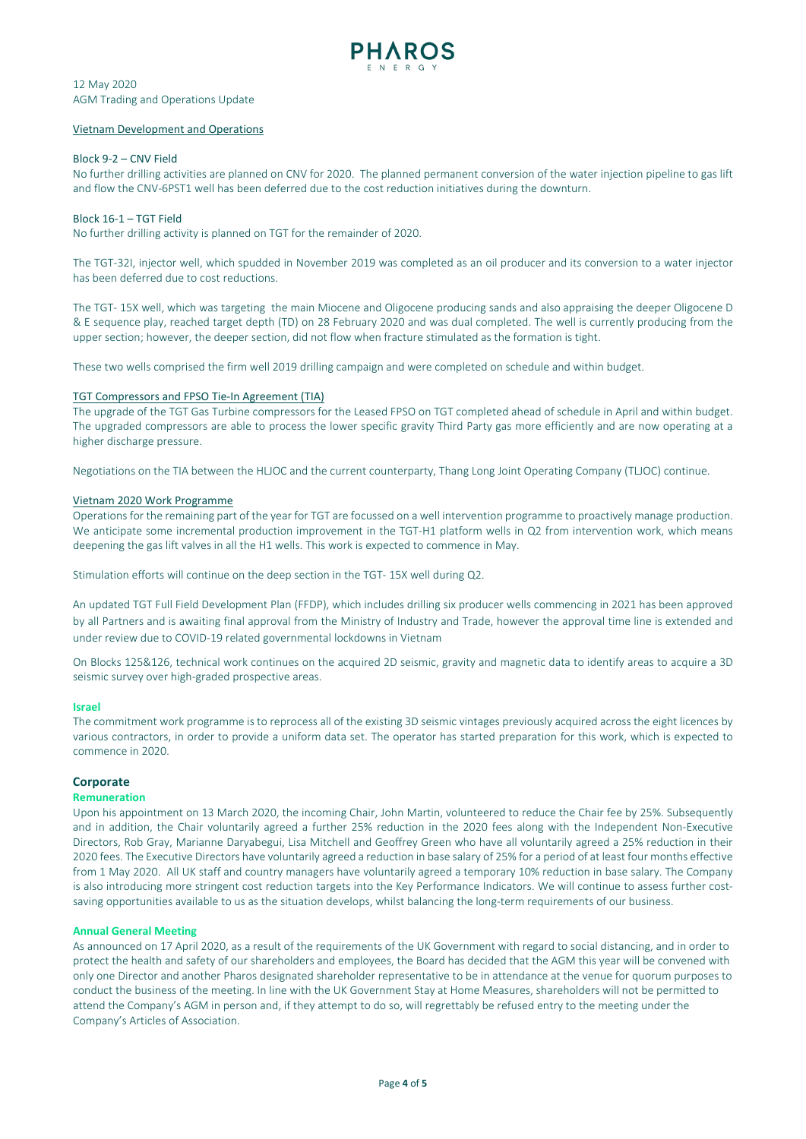

### Vietnam Development and Operations

## Block 9-2 – CNV Field

No further drilling activities are planned on CNV for 2020. The planned permanent conversion of the water injection pipeline to gas lift and flow the CNV-6PST1 well has been deferred due to the cost reduction initiatives during the downturn.

## Block 16-1 – TGT Field

No further drilling activity is planned on TGT for the remainder of 2020.

The TGT-32I, injector well, which spudded in November 2019 was completed as an oil producer and its conversion to a water injector has been deferred due to cost reductions.

The TGT- 15X well, which was targeting the main Miocene and Oligocene producing sands and also appraising the deeper Oligocene D & E sequence play, reached target depth (TD) on 28 February 2020 and was dual completed. The well is currently producing from the upper section; however, the deeper section, did not flow when fracture stimulated as the formation is tight.

These two wells comprised the firm well 2019 drilling campaign and were completed on schedule and within budget.

## TGT Compressors and FPSO Tie-In Agreement (TIA)

The upgrade of the TGT Gas Turbine compressors for the Leased FPSO on TGT completed ahead of schedule in April and within budget. The upgraded compressors are able to process the lower specific gravity Third Party gas more efficiently and are now operating at a higher discharge pressure.

Negotiations on the TIA between the HLJOC and the current counterparty, Thang Long Joint Operating Company (TLJOC) continue.

## Vietnam 2020 Work Programme

Operations for the remaining part of the year for TGT are focussed on a well intervention programme to proactively manage production. We anticipate some incremental production improvement in the TGT-H1 platform wells in Q2 from intervention work, which means deepening the gas lift valves in all the H1 wells. This work is expected to commence in May.

Stimulation efforts will continue on the deep section in the TGT- 15X well during Q2.

An updated TGT Full Field Development Plan (FFDP), which includes drilling six producer wells commencing in 2021 has been approved by all Partners and is awaiting final approval from the Ministry of Industry and Trade, however the approval time line is extended and under review due to COVID-19 related governmental lockdowns in Vietnam

On Blocks 125&126, technical work continues on the acquired 2D seismic, gravity and magnetic data to identify areas to acquire a 3D seismic survey over high-graded prospective areas.

### **Israel**

The commitment work programme is to reprocess all of the existing 3D seismic vintages previously acquired across the eight licences by various contractors, in order to provide a uniform data set. The operator has started preparation for this work, which is expected to commence in 2020.

## **Corporate**

### **Remuneration**

Upon his appointment on 13 March 2020, the incoming Chair, John Martin, volunteered to reduce the Chair fee by 25%. Subsequently and in addition, the Chair voluntarily agreed a further 25% reduction in the 2020 fees along with the Independent Non-Executive Directors, Rob Gray, Marianne Daryabegui, Lisa Mitchell and Geoffrey Green who have all voluntarily agreed a 25% reduction in their 2020 fees. The Executive Directors have voluntarily agreed a reduction in base salary of 25% for a period of at least four months effective from 1 May 2020. All UK staff and country managers have voluntarily agreed a temporary 10% reduction in base salary. The Company is also introducing more stringent cost reduction targets into the Key Performance Indicators. We will continue to assess further costsaving opportunities available to us as the situation develops, whilst balancing the long-term requirements of our business.

### **Annual General Meeting**

As announced on 17 April 2020, as a result of the requirements of the UK Government with regard to social distancing, and in order to protect the health and safety of our shareholders and employees, the Board has decided that the AGM this year will be convened with only one Director and another Pharos designated shareholder representative to be in attendance at the venue for quorum purposes to conduct the business of the meeting. In line with the UK Government Stay at Home Measures, shareholders will not be permitted to attend the Company's AGM in person and, if they attempt to do so, will regrettably be refused entry to the meeting under the Company's Articles of Association.